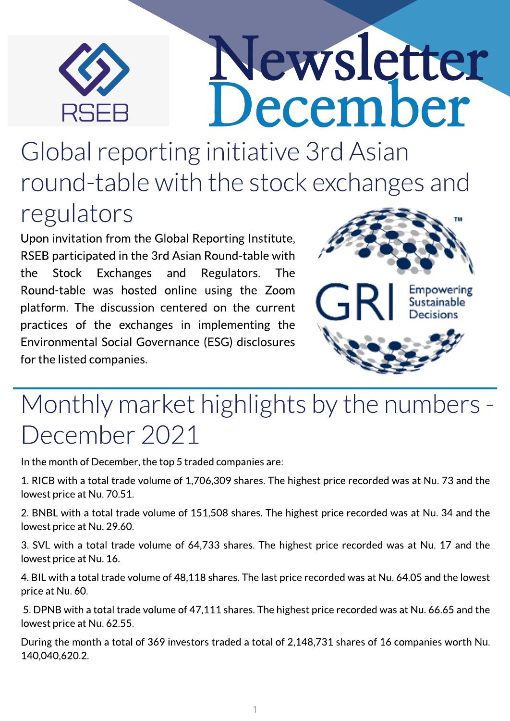

## Newsletter ecember

Global reporting initiative 3rd Asian round-table with the stock exchanges and regulators

Upon invitation from the Global Reporting Institute, RSEB participated in the 3rd Asian Round-table with the Stock Exchanges and Regulators. The Round-table was hosted online using the Zoom platform. The discussion centered on the current practices of the exchanges in implementing the Environmental Social Governance (ESG) disclosures for the listed companies.



## Monthly market highlights by the numbers -December 2021

In the month of December, the top 5 traded companies are:

1. RICB with a total trade volume of 1,706,309 shares. The highest price recorded was at Nu. 73 and the lowest price at Nu. 70.51.

2. BNBL with a total trade volume of 151,508 shares. The highest price recorded was at Nu. 34 and the lowest price at Nu.29.60.

3. SVL with a total trade volume of 64,733 shares. The highest price recorded was at Nu. 17 and the lowest price at Nu.16.

4.BIL with a total trade volume of 48,118 shares.The last price recorded was at Nu. 64.05 and the lowest price at Nu. 60.

5. DPNB with a total trade volume of 47,111 shares. The highest price recorded was at Nu. 66.65 and the lowest price at Nu. 62.55.

During the month a total of 369 investors traded a total of 2,148,731 shares of 16 companies worth Nu. 140,040,620.2.